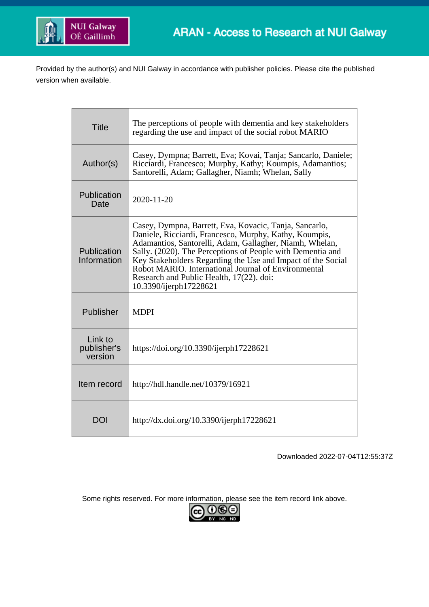

Provided by the author(s) and NUI Galway in accordance with publisher policies. Please cite the published version when available.

| <b>Title</b>                      | The perceptions of people with dementia and key stakeholders<br>regarding the use and impact of the social robot MARIO                                                                                                                                                                                                                                                                                                                |
|-----------------------------------|---------------------------------------------------------------------------------------------------------------------------------------------------------------------------------------------------------------------------------------------------------------------------------------------------------------------------------------------------------------------------------------------------------------------------------------|
| Author(s)                         | Casey, Dympna; Barrett, Eva; Kovai, Tanja; Sancarlo, Daniele;<br>Ricciardi, Francesco; Murphy, Kathy; Koumpis, Adamantios;<br>Santorelli, Adam; Gallagher, Niamh; Whelan, Sally                                                                                                                                                                                                                                                       |
| Publication<br>Date               | 2020-11-20                                                                                                                                                                                                                                                                                                                                                                                                                            |
| Publication<br>Information        | Casey, Dympna, Barrett, Eva, Kovacic, Tanja, Sancarlo,<br>Daniele, Ricciardi, Francesco, Murphy, Kathy, Koumpis,<br>Adamantios, Santorelli, Adam, Gallagher, Niamh, Whelan,<br>Sally. (2020). The Perceptions of People with Dementia and<br>Key Stakeholders Regarding the Use and Impact of the Social<br>Robot MARIO. International Journal of Environmental<br>Research and Public Health, 17(22). doi:<br>10.3390/ijerph17228621 |
| Publisher                         | <b>MDPI</b>                                                                                                                                                                                                                                                                                                                                                                                                                           |
| Link to<br>publisher's<br>version | https://doi.org/10.3390/ijerph17228621                                                                                                                                                                                                                                                                                                                                                                                                |
| Item record                       | http://hdl.handle.net/10379/16921                                                                                                                                                                                                                                                                                                                                                                                                     |
| <b>DOI</b>                        | http://dx.doi.org/10.3390/ijerph17228621                                                                                                                                                                                                                                                                                                                                                                                              |

Downloaded 2022-07-04T12:55:37Z

Some rights reserved. For more information, please see the item record link above.

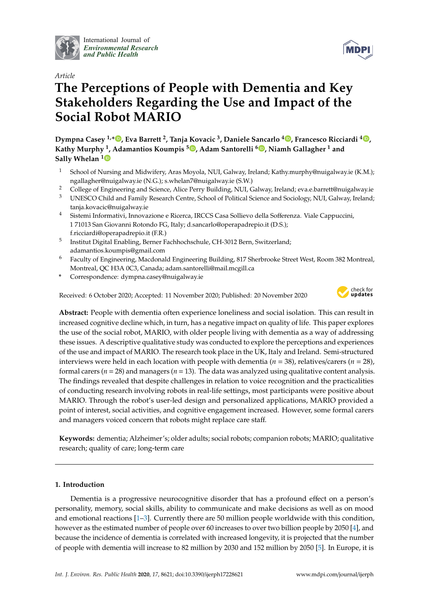

International Journal of *[Environmental Research](http://www.mdpi.com/journal/ijerph) and Public Health*

# *Article*

# **The Perceptions of People with Dementia and Key Stakeholders Regarding the Use and Impact of the Social Robot MARIO**

**Dympna Casey 1,\* [,](https://orcid.org/0000-0001-5341-597X) Eva Barrett <sup>2</sup> , Tanja Kovacic <sup>3</sup> , Daniele Sancarlo <sup>4</sup> [,](https://orcid.org/0000-0001-9541-6364) Francesco Ricciardi <sup>4</sup> [,](https://orcid.org/0000-0003-0068-9912) Kathy Murphy <sup>1</sup> , Adamantios Koumpis <sup>5</sup> [,](https://orcid.org/0000-0003-2661-7749) Adam Santorelli <sup>6</sup> [,](https://orcid.org/0000-0002-8951-4619) Niamh Gallagher <sup>1</sup> and Sally Whelan [1](https://orcid.org/0000-0001-9794-6246)**

- <sup>1</sup> School of Nursing and Midwifery, Aras Moyola, NUI, Galway, Ireland; Kathy.murphy@nuigalway.ie (K.M.); ngallagher@nuigalway.ie (N.G.); s.whelan7@nuigalway.ie (S.W.)
- <sup>2</sup> College of Engineering and Science, Alice Perry Building, NUI, Galway, Ireland; eva.e.barrett@nuigalway.ie
- <sup>3</sup> UNESCO Child and Family Research Centre, School of Political Science and Sociology, NUI, Galway, Ireland; tanja.kovacic@nuigalway.ie
- <sup>4</sup> Sistemi Informativi, Innovazione e Ricerca, IRCCS Casa Sollievo della Sofferenza. Viale Cappuccini, 1 71013 San Giovanni Rotondo FG, Italy; d.sancarlo@operapadrepio.it (D.S.); f.ricciardi@operapadrepio.it (F.R.)
- 5 Institut Digital Enabling, Berner Fachhochschule, CH-3012 Bern, Switzerland; adamantios.koumpis@gmail.com
- <sup>6</sup> Faculty of Engineering, Macdonald Engineering Building, 817 Sherbrooke Street West, Room 382 Montreal, Montreal, QC H3A 0C3, Canada; adam.santorelli@mail.mcgill.ca
- **\*** Correspondence: dympna.casey@nuigalway.ie

Received: 6 October 2020; Accepted: 11 November 2020; Published: 20 November 2020



**Abstract:** People with dementia often experience loneliness and social isolation. This can result in increased cognitive decline which, in turn, has a negative impact on quality of life. This paper explores the use of the social robot, MARIO, with older people living with dementia as a way of addressing these issues. A descriptive qualitative study was conducted to explore the perceptions and experiences of the use and impact of MARIO. The research took place in the UK, Italy and Ireland. Semi-structured interviews were held in each location with people with dementia (*n* = 38), relatives/carers (*n* = 28), formal carers ( $n = 28$ ) and managers ( $n = 13$ ). The data was analyzed using qualitative content analysis. The findings revealed that despite challenges in relation to voice recognition and the practicalities of conducting research involving robots in real-life settings, most participants were positive about MARIO. Through the robot's user-led design and personalized applications, MARIO provided a point of interest, social activities, and cognitive engagement increased. However, some formal carers and managers voiced concern that robots might replace care staff.

**Keywords:** dementia; Alzheimer's; older adults; social robots; companion robots; MARIO; qualitative research; quality of care; long-term care

# **1. Introduction**

Dementia is a progressive neurocognitive disorder that has a profound effect on a person's personality, memory, social skills, ability to communicate and make decisions as well as on mood and emotional reactions [\[1](#page-15-0)[–3\]](#page-15-1). Currently there are 50 million people worldwide with this condition, however as the estimated number of people over 60 increases to over two billion people by 2050 [\[4\]](#page-15-2), and because the incidence of dementia is correlated with increased longevity, it is projected that the number of people with dementia will increase to 82 million by 2030 and 152 million by 2050 [\[5\]](#page-15-3). In Europe, it is

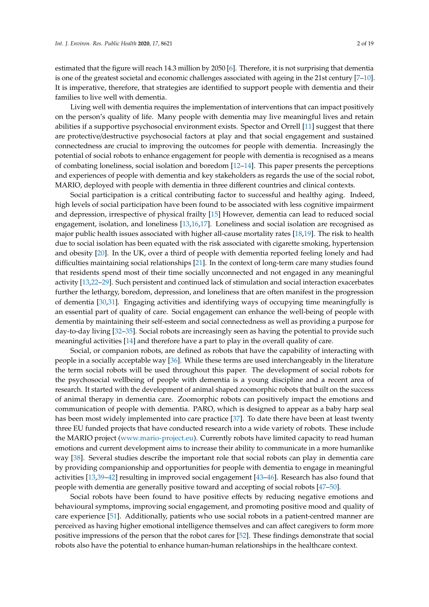estimated that the figure will reach 14.3 million by 2050 [\[6\]](#page-15-4). Therefore, it is not surprising that dementia is one of the greatest societal and economic challenges associated with ageing in the 21st century [\[7–](#page-15-5)[10\]](#page-15-6). It is imperative, therefore, that strategies are identified to support people with dementia and their families to live well with dementia.

Living well with dementia requires the implementation of interventions that can impact positively on the person's quality of life. Many people with dementia may live meaningful lives and retain abilities if a supportive psychosocial environment exists. Spector and Orrell [\[11\]](#page-15-7) suggest that there are protective/destructive psychosocial factors at play and that social engagement and sustained connectedness are crucial to improving the outcomes for people with dementia. Increasingly the potential of social robots to enhance engagement for people with dementia is recognised as a means of combating loneliness, social isolation and boredom [\[12–](#page-15-8)[14\]](#page-15-9). This paper presents the perceptions and experiences of people with dementia and key stakeholders as regards the use of the social robot, MARIO, deployed with people with dementia in three different countries and clinical contexts.

Social participation is a critical contributing factor to successful and healthy aging. Indeed, high levels of social participation have been found to be associated with less cognitive impairment and depression, irrespective of physical frailty [\[15\]](#page-15-10) However, dementia can lead to reduced social engagement, isolation, and loneliness [\[13,](#page-15-11)[16,](#page-15-12)[17\]](#page-15-13). Loneliness and social isolation are recognised as major public health issues associated with higher all-cause mortality rates [\[18](#page-15-14)[,19\]](#page-15-15). The risk to health due to social isolation has been equated with the risk associated with cigarette smoking, hypertension and obesity [\[20\]](#page-15-16). In the UK, over a third of people with dementia reported feeling lonely and had difficulties maintaining social relationships [\[21\]](#page-15-17). In the context of long-term care many studies found that residents spend most of their time socially unconnected and not engaged in any meaningful activity [\[13,](#page-15-11)[22](#page-15-18)[–29\]](#page-16-0). Such persistent and continued lack of stimulation and social interaction exacerbates further the lethargy, boredom, depression, and loneliness that are often manifest in the progression of dementia [\[30,](#page-16-1)[31\]](#page-16-2). Engaging activities and identifying ways of occupying time meaningfully is an essential part of quality of care. Social engagement can enhance the well-being of people with dementia by maintaining their self-esteem and social connectedness as well as providing a purpose for day-to-day living [\[32](#page-16-3)[–35\]](#page-16-4). Social robots are increasingly seen as having the potential to provide such meaningful activities [\[14\]](#page-15-9) and therefore have a part to play in the overall quality of care.

Social, or companion robots, are defined as robots that have the capability of interacting with people in a socially acceptable way [\[36\]](#page-16-5). While these terms are used interchangeably in the literature the term social robots will be used throughout this paper. The development of social robots for the psychosocial wellbeing of people with dementia is a young discipline and a recent area of research. It started with the development of animal shaped zoomorphic robots that built on the success of animal therapy in dementia care. Zoomorphic robots can positively impact the emotions and communication of people with dementia. PARO, which is designed to appear as a baby harp seal has been most widely implemented into care practice [\[37\]](#page-16-6). To date there have been at least twenty three EU funded projects that have conducted research into a wide variety of robots. These include the MARIO project [\(www.mario-project.eu\)](www.mario-project.eu). Currently robots have limited capacity to read human emotions and current development aims to increase their ability to communicate in a more humanlike way [\[38\]](#page-16-7). Several studies describe the important role that social robots can play in dementia care by providing companionship and opportunities for people with dementia to engage in meaningful activities [\[13](#page-15-11)[,39–](#page-16-8)[42\]](#page-16-9) resulting in improved social engagement [\[43–](#page-16-10)[46\]](#page-17-0). Research has also found that people with dementia are generally positive toward and accepting of social robots [\[47–](#page-17-1)[50\]](#page-17-2).

Social robots have been found to have positive effects by reducing negative emotions and behavioural symptoms, improving social engagement, and promoting positive mood and quality of care experience [\[51\]](#page-17-3). Additionally, patients who use social robots in a patient-centred manner are perceived as having higher emotional intelligence themselves and can affect caregivers to form more positive impressions of the person that the robot cares for [\[52\]](#page-17-4). These findings demonstrate that social robots also have the potential to enhance human-human relationships in the healthcare context.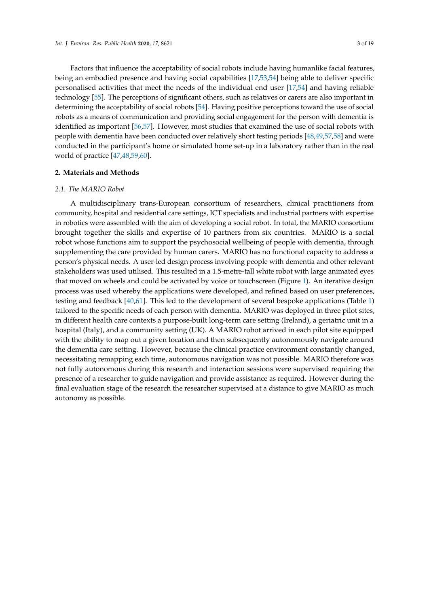Factors that influence the acceptability of social robots include having humanlike facial features, being an embodied presence and having social capabilities [\[17](#page-15-13)[,53](#page-17-5)[,54\]](#page-17-6) being able to deliver specific personalised activities that meet the needs of the individual end user [\[17](#page-15-13)[,54\]](#page-17-6) and having reliable technology [\[55\]](#page-17-7). The perceptions of significant others, such as relatives or carers are also important in determining the acceptability of social robots [\[54\]](#page-17-6). Having positive perceptions toward the use of social robots as a means of communication and providing social engagement for the person with dementia is identified as important [\[56,](#page-17-8)[57\]](#page-17-9). However, most studies that examined the use of social robots with people with dementia have been conducted over relatively short testing periods [\[48](#page-17-10)[,49,](#page-17-11)[57,](#page-17-9)[58\]](#page-17-12) and were conducted in the participant's home or simulated home set-up in a laboratory rather than in the real world of practice [\[47](#page-17-1)[,48](#page-17-10)[,59](#page-17-13)[,60\]](#page-17-14).

# **2. Materials and Methods**

# *2.1. The MARIO Robot*

A multidisciplinary trans-European consortium of researchers, clinical practitioners from community, hospital and residential care settings, ICT specialists and industrial partners with expertise in robotics were assembled with the aim of developing a social robot. In total, the MARIO consortium brought together the skills and expertise of 10 partners from six countries. MARIO is a social robot whose functions aim to support the psychosocial wellbeing of people with dementia, through supplementing the care provided by human carers. MARIO has no functional capacity to address a person's physical needs. A user-led design process involving people with dementia and other relevant stakeholders was used utilised. This resulted in a 1.5-metre-tall white robot with large animated eyes that moved on wheels and could be activated by voice or touchscreen (Figure [1\)](#page-4-0). An iterative design process was used whereby the applications were developed, and refined based on user preferences, testing and feedback [\[40](#page-16-11)[,61\]](#page-17-15). This led to the development of several bespoke applications (Table [1\)](#page-4-1) tailored to the specific needs of each person with dementia. MARIO was deployed in three pilot sites, in different health care contexts a purpose-built long-term care setting (Ireland), a geriatric unit in a hospital (Italy), and a community setting (UK). A MARIO robot arrived in each pilot site equipped with the ability to map out a given location and then subsequently autonomously navigate around the dementia care setting. However, because the clinical practice environment constantly changed, necessitating remapping each time, autonomous navigation was not possible. MARIO therefore was not fully autonomous during this research and interaction sessions were supervised requiring the presence of a researcher to guide navigation and provide assistance as required. However during the final evaluation stage of the research the researcher supervised at a distance to give MARIO as much autonomy as possible.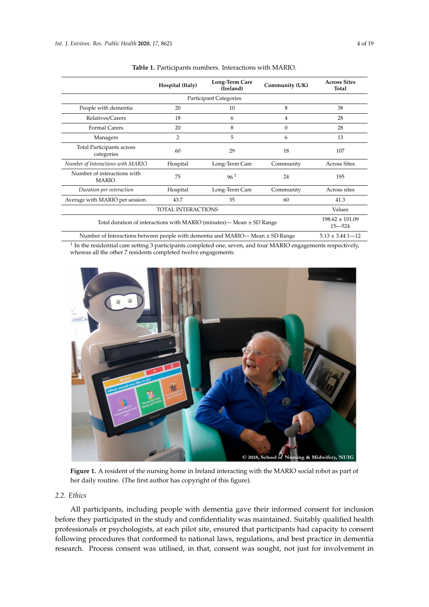<span id="page-4-1"></span>

|                                                                                | Hospital (Italy)                  | <b>Long-Term Care</b><br>(Ireland) | Community (UK) | <b>Across Sites</b><br>Total |  |  |  |
|--------------------------------------------------------------------------------|-----------------------------------|------------------------------------|----------------|------------------------------|--|--|--|
| Participant Categories                                                         |                                   |                                    |                |                              |  |  |  |
| People with dementia                                                           | 20                                | 10                                 | 8              | 38                           |  |  |  |
| Relatives/Carers                                                               | 18                                | 6                                  | 4              | 28                           |  |  |  |
| <b>Formal Carers</b>                                                           | 20                                | 8                                  | 0              | 28                           |  |  |  |
| Managers                                                                       | 2                                 | 5                                  | 6              | 13                           |  |  |  |
| <b>Total Participants across</b><br>categories                                 | 60                                | 29                                 | 18             | 107                          |  |  |  |
| Number of Interactions with MARIO                                              | Hospital                          | Long-Term Care                     | Community      | <b>Across Sites</b>          |  |  |  |
| Number of interactions with<br>MARIO.                                          | 75                                | $96^{1}$                           | 24             | 195                          |  |  |  |
| Duration per interaction                                                       | Hospital                          | Long-Term Care                     | Community      | Across sites                 |  |  |  |
| Average with MARIO per session.                                                | 43.7                              | 35                                 | 60             | 41.3                         |  |  |  |
|                                                                                | Values                            |                                    |                |                              |  |  |  |
| Total duration of interactions with MARIO (minutes)— Mean $\pm$ SD Range       | $198.62 \pm 101.09$<br>$15 - 524$ |                                    |                |                              |  |  |  |
| Number of Interactions between people with dementia and MARIO— Mean ± SD Range | $5.13 \pm 3.44$ 1-12              |                                    |                |                              |  |  |  |

**Table 1.** Participants numbers. Interactions with MARIO.

 $^1$  In the residential care setting 3 participants completed one, seven, and four MARIO engagements respectively, whereas all the other 7 residents completed twelve engagements.

<span id="page-4-0"></span>

**Figure 1.** A resident of the nursing home in Ireland interacting with the MARIO social robot as part of her daily routine. (The first author has copyright of this figure).

# *2.2. Ethics*

All participants, including people with dementia gave their informed consent for inclusion before they participated in the study and confidentiality was maintained. Suitably qualified health professionals or psychologists, at each pilot site, ensured that participants had capacity to consent following procedures that conformed to national laws, regulations, and best practice in dementia research. Process consent was utilised, in that, consent was sought, not just for involvement in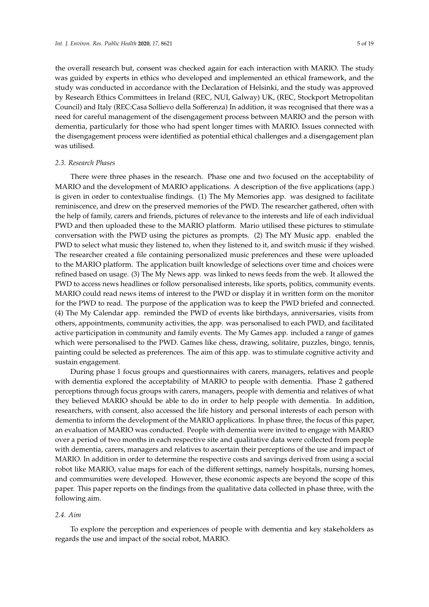the overall research but, consent was checked again for each interaction with MARIO. The study was guided by experts in ethics who developed and implemented an ethical framework, and the study was conducted in accordance with the Declaration of Helsinki, and the study was approved by Research Ethics Committees in Ireland (REC, NUI, Galway) UK, (REC, Stockport Metropolitan Council) and Italy (REC:Casa Sollievo della Sofferenza) In addition, it was recognised that there was a need for careful management of the disengagement process between MARIO and the person with dementia, particularly for those who had spent longer times with MARIO. Issues connected with the disengagement process were identified as potential ethical challenges and a disengagement plan was utilised.

#### *2.3. Research Phases*

There were three phases in the research. Phase one and two focused on the acceptability of MARIO and the development of MARIO applications. A description of the five applications (app.) is given in order to contextualise findings. (1) The My Memories app. was designed to facilitate reminiscence, and drew on the preserved memories of the PWD. The researcher gathered, often with the help of family, carers and friends, pictures of relevance to the interests and life of each individual PWD and then uploaded these to the MARIO platform. Mario utilised these pictures to stimulate conversation with the PWD using the pictures as prompts. (2) The MY Music app. enabled the PWD to select what music they listened to, when they listened to it, and switch music if they wished. The researcher created a file containing personalized music preferences and these were uploaded to the MARIO platform. The application built knowledge of selections over time and choices were refined based on usage. (3) The My News app. was linked to news feeds from the web. It allowed the PWD to access news headlines or follow personalised interests, like sports, politics, community events. MARIO could read news items of interest to the PWD or display it in written form on the monitor for the PWD to read. The purpose of the application was to keep the PWD briefed and connected. (4) The My Calendar app. reminded the PWD of events like birthdays, anniversaries, visits from others, appointments, community activities, the app. was personalised to each PWD, and facilitated active participation in community and family events. The My Games app. included a range of games which were personalised to the PWD. Games like chess, drawing, solitaire, puzzles, bingo, tennis, painting could be selected as preferences. The aim of this app. was to stimulate cognitive activity and sustain engagement.

During phase 1 focus groups and questionnaires with carers, managers, relatives and people with dementia explored the acceptability of MARIO to people with dementia. Phase 2 gathered perceptions through focus groups with carers, managers, people with dementia and relatives of what they believed MARIO should be able to do in order to help people with dementia. In addition, researchers, with consent, also accessed the life history and personal interests of each person with dementia to inform the development of the MARIO applications. In phase three, the focus of this paper, an evaluation of MARIO was conducted. People with dementia were invited to engage with MARIO over a period of two months in each respective site and qualitative data were collected from people with dementia, carers, managers and relatives to ascertain their perceptions of the use and impact of MARIO. In addition in order to determine the respective costs and savings derived from using a social robot like MARIO, value maps for each of the different settings, namely hospitals, nursing homes, and communities were developed. However, these economic aspects are beyond the scope of this paper. This paper reports on the findings from the qualitative data collected in phase three, with the following aim.

### *2.4. Aim*

To explore the perception and experiences of people with dementia and key stakeholders as regards the use and impact of the social robot, MARIO.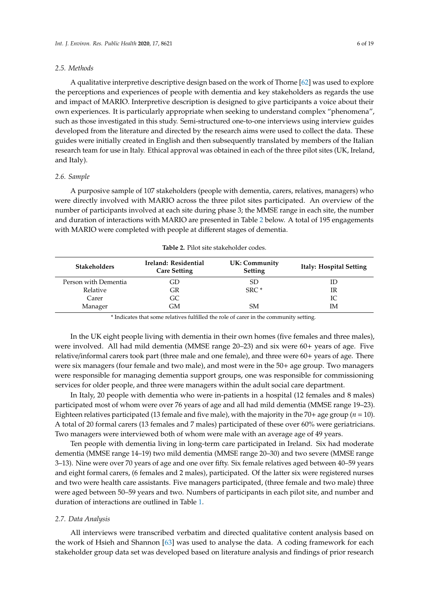#### *2.5. Methods*

A qualitative interpretive descriptive design based on the work of Thorne [\[62\]](#page-17-16) was used to explore the perceptions and experiences of people with dementia and key stakeholders as regards the use and impact of MARIO. Interpretive description is designed to give participants a voice about their own experiences. It is particularly appropriate when seeking to understand complex "phenomena", such as those investigated in this study. Semi-structured one-to-one interviews using interview guides developed from the literature and directed by the research aims were used to collect the data. These guides were initially created in English and then subsequently translated by members of the Italian research team for use in Italy. Ethical approval was obtained in each of the three pilot sites (UK, Ireland, and Italy).

## *2.6. Sample*

A purposive sample of 107 stakeholders (people with dementia, carers, relatives, managers) who were directly involved with MARIO across the three pilot sites participated. An overview of the number of participants involved at each site during phase 3; the MMSE range in each site, the number and duration of interactions with MARIO are presented in Table [2](#page-6-0) below. A total of 195 engagements with MARIO were completed with people at different stages of dementia.

<span id="page-6-0"></span>

| <b>Stakeholders</b>  | Ireland: Residential<br><b>Care Setting</b> | UK: Community<br><b>Setting</b> | <b>Italy: Hospital Setting</b> |
|----------------------|---------------------------------------------|---------------------------------|--------------------------------|
| Person with Dementia | GD                                          | SD                              |                                |
| Relative             | GR                                          | $SRC*$                          | IR                             |
| Carer                | GC.                                         |                                 | IC                             |
| Manager              | GМ                                          | <b>SM</b>                       | IМ                             |

**Table 2.** Pilot site stakeholder codes.

\* Indicates that some relatives fulfilled the role of carer in the community setting.

In the UK eight people living with dementia in their own homes (five females and three males), were involved. All had mild dementia (MMSE range 20–23) and six were 60+ years of age. Five relative/informal carers took part (three male and one female), and three were 60+ years of age. There were six managers (four female and two male), and most were in the 50+ age group. Two managers were responsible for managing dementia support groups, one was responsible for commissioning services for older people, and three were managers within the adult social care department.

In Italy, 20 people with dementia who were in-patients in a hospital (12 females and 8 males) participated most of whom were over 76 years of age and all had mild dementia (MMSE range 19–23). Eighteen relatives participated (13 female and five male), with the majority in the 70+ age group ( $n = 10$ ). A total of 20 formal carers (13 females and 7 males) participated of these over 60% were geriatricians. Two managers were interviewed both of whom were male with an average age of 49 years.

Ten people with dementia living in long-term care participated in Ireland. Six had moderate dementia (MMSE range 14–19) two mild dementia (MMSE range 20–30) and two severe (MMSE range 3–13). Nine were over 70 years of age and one over fifty. Six female relatives aged between 40–59 years and eight formal carers, (6 females and 2 males), participated. Of the latter six were registered nurses and two were health care assistants. Five managers participated, (three female and two male) three were aged between 50–59 years and two. Numbers of participants in each pilot site, and number and duration of interactions are outlined in Table [1.](#page-4-1)

#### *2.7. Data Analysis*

All interviews were transcribed verbatim and directed qualitative content analysis based on the work of Hsieh and Shannon [\[63\]](#page-18-0) was used to analyse the data. A coding framework for each stakeholder group data set was developed based on literature analysis and findings of prior research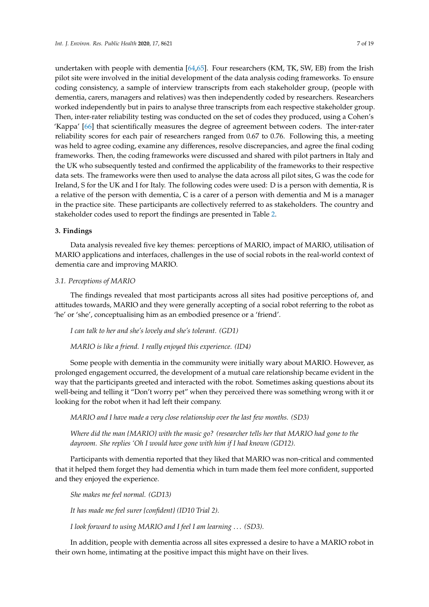undertaken with people with dementia [\[64](#page-18-1)[,65\]](#page-18-2). Four researchers (KM, TK, SW, EB) from the Irish pilot site were involved in the initial development of the data analysis coding frameworks. To ensure coding consistency, a sample of interview transcripts from each stakeholder group, (people with dementia, carers, managers and relatives) was then independently coded by researchers. Researchers worked independently but in pairs to analyse three transcripts from each respective stakeholder group. Then, inter-rater reliability testing was conducted on the set of codes they produced, using a Cohen's 'Kappa' [\[66\]](#page-18-3) that scientifically measures the degree of agreement between coders. The inter-rater reliability scores for each pair of researchers ranged from 0.67 to 0.76. Following this, a meeting was held to agree coding, examine any differences, resolve discrepancies, and agree the final coding frameworks. Then, the coding frameworks were discussed and shared with pilot partners in Italy and the UK who subsequently tested and confirmed the applicability of the frameworks to their respective data sets. The frameworks were then used to analyse the data across all pilot sites, G was the code for Ireland, S for the UK and I for Italy. The following codes were used: D is a person with dementia, R is a relative of the person with dementia, C is a carer of a person with dementia and M is a manager in the practice site. These participants are collectively referred to as stakeholders. The country and stakeholder codes used to report the findings are presented in Table [2.](#page-6-0)

# **3. Findings**

Data analysis revealed five key themes: perceptions of MARIO, impact of MARIO, utilisation of MARIO applications and interfaces, challenges in the use of social robots in the real-world context of dementia care and improving MARIO.

# *3.1. Perceptions of MARIO*

The findings revealed that most participants across all sites had positive perceptions of, and attitudes towards, MARIO and they were generally accepting of a social robot referring to the robot as 'he' or 'she', conceptualising him as an embodied presence or a 'friend'.

#### *I can talk to her and she's lovely and she's tolerant. (GD1)*

## *MARIO is like a friend. I really enjoyed this experience. (ID4)*

Some people with dementia in the community were initially wary about MARIO. However, as prolonged engagement occurred, the development of a mutual care relationship became evident in the way that the participants greeted and interacted with the robot. Sometimes asking questions about its well-being and telling it "Don't worry pet" when they perceived there was something wrong with it or looking for the robot when it had left their company.

*MARIO and I have made a very close relationship over the last few months. (SD3)*

*Where did the man {MARIO} with the music go? (researcher tells her that MARIO had gone to the dayroom. She replies 'Oh I would have gone with him if I had known (GD12).*

Participants with dementia reported that they liked that MARIO was non-critical and commented that it helped them forget they had dementia which in turn made them feel more confident, supported and they enjoyed the experience.

*She makes me feel normal. (GD13)*

*It has made me feel surer {confident} (ID10 Trial 2).*

*I look forward to using MARIO and I feel I am learning* . . . *(SD3).*

In addition, people with dementia across all sites expressed a desire to have a MARIO robot in their own home, intimating at the positive impact this might have on their lives.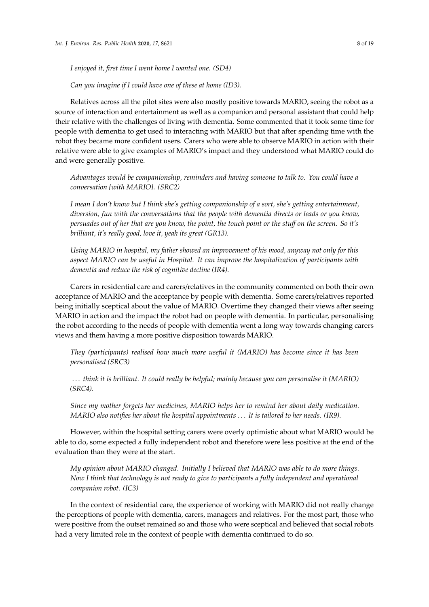*I enjoyed it, first time I went home I wanted one. (SD4)*

*Can you imagine if I could have one of these at home (ID3).*

Relatives across all the pilot sites were also mostly positive towards MARIO, seeing the robot as a source of interaction and entertainment as well as a companion and personal assistant that could help their relative with the challenges of living with dementia. Some commented that it took some time for people with dementia to get used to interacting with MARIO but that after spending time with the robot they became more confident users. Carers who were able to observe MARIO in action with their relative were able to give examples of MARIO's impact and they understood what MARIO could do and were generally positive.

*Advantages would be companionship, reminders and having someone to talk to. You could have a conversation {with MARIO}. (SRC2)*

*I mean I don't know but I think she's getting companionship of a sort, she's getting entertainment, diversion, fun with the conversations that the people with dementia directs or leads or you know, persuades out of her that are you know, the point, the touch point or the stu*ff *on the screen. So it's brilliant, it's really good, love it, yeah its great (GR13).*

*Using MARIO in hospital, my father showed an improvement of his mood, anyway not only for this aspect MARIO can be useful in Hospital. It can improve the hospitalization of participants with dementia and reduce the risk of cognitive decline (IR4).*

Carers in residential care and carers/relatives in the community commented on both their own acceptance of MARIO and the acceptance by people with dementia. Some carers/relatives reported being initially sceptical about the value of MARIO. Overtime they changed their views after seeing MARIO in action and the impact the robot had on people with dementia. In particular, personalising the robot according to the needs of people with dementia went a long way towards changing carers views and them having a more positive disposition towards MARIO.

*They (participants) realised how much more useful it (MARIO) has become since it has been personalised (SRC3)*

. . . *think it is brilliant. It could really be helpful; mainly because you can personalise it (MARIO) (SRC4).*

*Since my mother forgets her medicines, MARIO helps her to remind her about daily medication. MARIO also notifies her about the hospital appointments* . . . *It is tailored to her needs. (IR9).*

However, within the hospital setting carers were overly optimistic about what MARIO would be able to do, some expected a fully independent robot and therefore were less positive at the end of the evaluation than they were at the start.

*My opinion about MARIO changed. Initially I believed that MARIO was able to do more things. Now I think that technology is not ready to give to participants a fully independent and operational companion robot. (IC3)*

In the context of residential care, the experience of working with MARIO did not really change the perceptions of people with dementia, carers, managers and relatives. For the most part, those who were positive from the outset remained so and those who were sceptical and believed that social robots had a very limited role in the context of people with dementia continued to do so.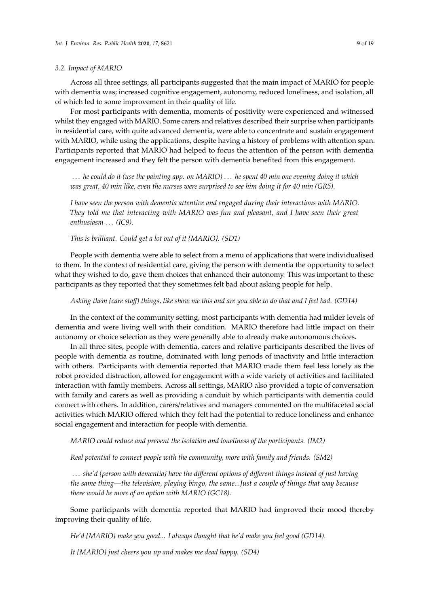#### *3.2. Impact of MARIO*

Across all three settings, all participants suggested that the main impact of MARIO for people with dementia was; increased cognitive engagement, autonomy, reduced loneliness, and isolation, all of which led to some improvement in their quality of life.

For most participants with dementia, moments of positivity were experienced and witnessed whilst they engaged with MARIO. Some carers and relatives described their surprise when participants in residential care, with quite advanced dementia, were able to concentrate and sustain engagement with MARIO, while using the applications, despite having a history of problems with attention span. Participants reported that MARIO had helped to focus the attention of the person with dementia engagement increased and they felt the person with dementia benefited from this engagement.

. . . *he could do it (use the painting app. on MARIO}* . . . *he spent 40 min one evening doing it which was great, 40 min like, even the nurses were surprised to see him doing it for 40 min (GR5).*

*I have seen the person with dementia attentive and engaged during their interactions with MARIO. They told me that interacting with MARIO was fun and pleasant, and I have seen their great enthusiasm* . . . *(IC9).*

# *This is brilliant. Could get a lot out of it {MARIO}. (SD1)*

People with dementia were able to select from a menu of applications that were individualised to them. In the context of residential care, giving the person with dementia the opportunity to select what they wished to do, gave them choices that enhanced their autonomy. This was important to these participants as they reported that they sometimes felt bad about asking people for help.

*Asking them {care sta*ff*} things, like show me this and are you able to do that and I feel bad. (GD14)*

In the context of the community setting, most participants with dementia had milder levels of dementia and were living well with their condition. MARIO therefore had little impact on their autonomy or choice selection as they were generally able to already make autonomous choices.

In all three sites, people with dementia, carers and relative participants described the lives of people with dementia as routine, dominated with long periods of inactivity and little interaction with others. Participants with dementia reported that MARIO made them feel less lonely as the robot provided distraction, allowed for engagement with a wide variety of activities and facilitated interaction with family members. Across all settings, MARIO also provided a topic of conversation with family and carers as well as providing a conduit by which participants with dementia could connect with others. In addition, carers/relatives and managers commented on the multifaceted social activities which MARIO offered which they felt had the potential to reduce loneliness and enhance social engagement and interaction for people with dementia.

*MARIO could reduce and prevent the isolation and loneliness of the participants. (IM2)*

*Real potential to connect people with the community, more with family and friends. (SM2)*

. . . *she'd {person with dementia} have the di*ff*erent options of di*ff*erent things instead of just having the same thing—the television, playing bingo, the same...Just a couple of things that way because there would be more of an option with MARIO (GC18).*

Some participants with dementia reported that MARIO had improved their mood thereby improving their quality of life.

*He'd {MARIO} make you good... I always thought that he'd make you feel good (GD14).*

*It {MARIO} just cheers you up and makes me dead happy. (SD4)*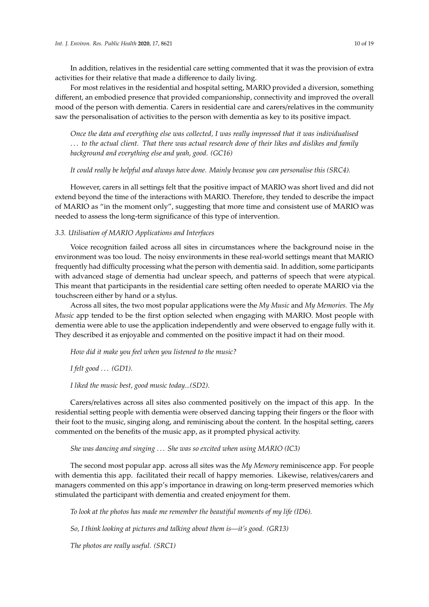In addition, relatives in the residential care setting commented that it was the provision of extra activities for their relative that made a difference to daily living.

For most relatives in the residential and hospital setting, MARIO provided a diversion, something different, an embodied presence that provided companionship, connectivity and improved the overall mood of the person with dementia. Carers in residential care and carers/relatives in the community saw the personalisation of activities to the person with dementia as key to its positive impact.

*Once the data and everything else was collected, I was really impressed that it was individualised* . . . *to the actual client. That there was actual research done of their likes and dislikes and family background and everything else and yeah, good. (GC16)*

*It could really be helpful and always have done. Mainly because you can personalise this (SRC4).*

However, carers in all settings felt that the positive impact of MARIO was short lived and did not extend beyond the time of the interactions with MARIO. Therefore, they tended to describe the impact of MARIO as "in the moment only", suggesting that more time and consistent use of MARIO was needed to assess the long-term significance of this type of intervention.

## *3.3. Utilisation of MARIO Applications and Interfaces*

Voice recognition failed across all sites in circumstances where the background noise in the environment was too loud. The noisy environments in these real-world settings meant that MARIO frequently had difficulty processing what the person with dementia said. In addition, some participants with advanced stage of dementia had unclear speech, and patterns of speech that were atypical. This meant that participants in the residential care setting often needed to operate MARIO via the touchscreen either by hand or a stylus.

Across all sites, the two most popular applications were the *My Music* and *My Memories.* The *My Music* app tended to be the first option selected when engaging with MARIO. Most people with dementia were able to use the application independently and were observed to engage fully with it. They described it as enjoyable and commented on the positive impact it had on their mood.

*How did it make you feel when you listened to the music?*

*I felt good* . . . *(GD1).*

*I liked the music best, good music today...(SD2).*

Carers/relatives across all sites also commented positively on the impact of this app. In the residential setting people with dementia were observed dancing tapping their fingers or the floor with their foot to the music, singing along, and reminiscing about the content. In the hospital setting, carers commented on the benefits of the music app, as it prompted physical activity.

*She was dancing and singing* . . . *She was so excited when using MARIO (IC3)*

The second most popular app. across all sites was the *My Memory* reminiscence app. For people with dementia this app. facilitated their recall of happy memories. Likewise, relatives/carers and managers commented on this app's importance in drawing on long-term preserved memories which stimulated the participant with dementia and created enjoyment for them.

*To look at the photos has made me remember the beautiful moments of my life (ID6).*

*So, I think looking at pictures and talking about them is—it's good. (GR13)*

*The photos are really useful. (SRC1)*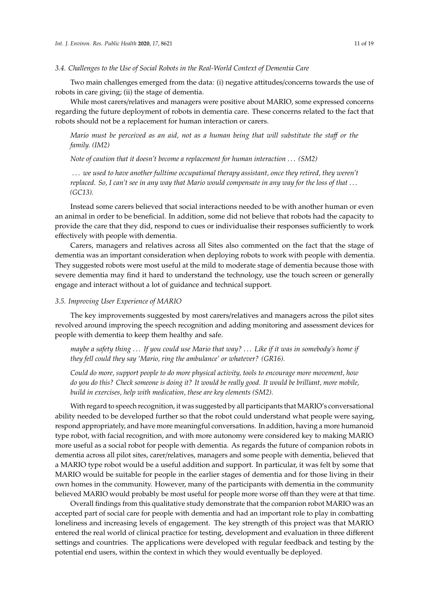## *3.4. Challenges to the Use of Social Robots in the Real-World Context of Dementia Care*

Two main challenges emerged from the data: (i) negative attitudes/concerns towards the use of robots in care giving; (ii) the stage of dementia.

While most carers/relatives and managers were positive about MARIO, some expressed concerns regarding the future deployment of robots in dementia care. These concerns related to the fact that robots should not be a replacement for human interaction or carers.

*Mario must be perceived as an aid, not as a human being that will substitute the sta*ff *or the family. (IM2)*

*Note of caution that it doesn't become a replacement for human interaction* . . . *(SM2)*

. . . *we used to have another fulltime occupational therapy assistant, once they retired, they weren't replaced. So, I can't see in any way that Mario would compensate in any way for the loss of that* . . . *(GC13).*

Instead some carers believed that social interactions needed to be with another human or even an animal in order to be beneficial. In addition, some did not believe that robots had the capacity to provide the care that they did, respond to cues or individualise their responses sufficiently to work effectively with people with dementia.

Carers, managers and relatives across all Sites also commented on the fact that the stage of dementia was an important consideration when deploying robots to work with people with dementia. They suggested robots were most useful at the mild to moderate stage of dementia because those with severe dementia may find it hard to understand the technology, use the touch screen or generally engage and interact without a lot of guidance and technical support.

#### *3.5. Improving User Experience of MARIO*

The key improvements suggested by most carers/relatives and managers across the pilot sites revolved around improving the speech recognition and adding monitoring and assessment devices for people with dementia to keep them healthy and safe.

*maybe a safety thing* . . . *If you could use Mario that way?* . . . *Like if it was in somebody's home if they fell could they say 'Mario, ring the ambulance' or whatever? (GR16).*

*Could do more, support people to do more physical activity, tools to encourage more movement, how do you do this? Check someone is doing it? It would be really good. It would be brilliant, more mobile, build in exercises, help with medication, these are key elements (SM2).*

With regard to speech recognition, it was suggested by all participants that MARIO's conversational ability needed to be developed further so that the robot could understand what people were saying, respond appropriately, and have more meaningful conversations. In addition, having a more humanoid type robot, with facial recognition, and with more autonomy were considered key to making MARIO more useful as a social robot for people with dementia. As regards the future of companion robots in dementia across all pilot sites, carer/relatives, managers and some people with dementia, believed that a MARIO type robot would be a useful addition and support. In particular, it was felt by some that MARIO would be suitable for people in the earlier stages of dementia and for those living in their own homes in the community. However, many of the participants with dementia in the community believed MARIO would probably be most useful for people more worse off than they were at that time.

Overall findings from this qualitative study demonstrate that the companion robot MARIO was an accepted part of social care for people with dementia and had an important role to play in combatting loneliness and increasing levels of engagement. The key strength of this project was that MARIO entered the real world of clinical practice for testing, development and evaluation in three different settings and countries. The applications were developed with regular feedback and testing by the potential end users, within the context in which they would eventually be deployed.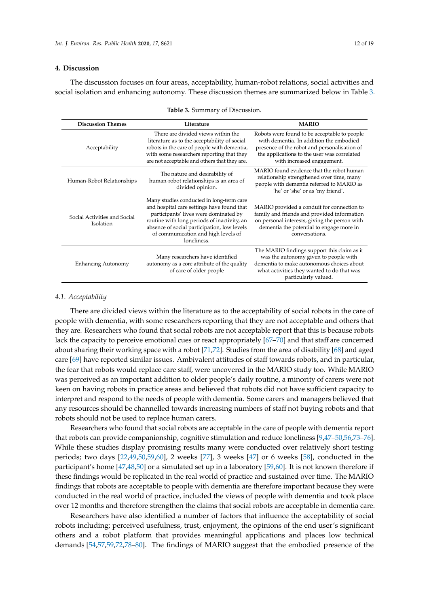## **4. Discussion**

The discussion focuses on four areas, acceptability, human-robot relations, social activities and social isolation and enhancing autonomy. These discussion themes are summarized below in Table [3.](#page-12-0)

<span id="page-12-0"></span>

| <b>Discussion Themes</b>                  | Literature                                                                                                                                                                                                                                                                          | <b>MARIO</b>                                                                                                                                                                                                         |
|-------------------------------------------|-------------------------------------------------------------------------------------------------------------------------------------------------------------------------------------------------------------------------------------------------------------------------------------|----------------------------------------------------------------------------------------------------------------------------------------------------------------------------------------------------------------------|
| Acceptability                             | There are divided views within the<br>literature as to the acceptability of social<br>robots in the care of people with dementia,<br>with some researchers reporting that they<br>are not acceptable and others that they are.                                                      | Robots were found to be acceptable to people<br>with dementia. In addition the embodied<br>presence of the robot and personalisation of<br>the applications to the user was correlated<br>with increased engagement. |
| Human-Robot Relationships                 | The nature and desirability of<br>human-robot relationships is an area of<br>divided opinion.                                                                                                                                                                                       | MARIO found evidence that the robot human<br>relationship strengthened over time, many<br>people with dementia referred to MARIO as<br>'he' or 'she' or as 'my friend'.                                              |
| Social Activities and Social<br>Isolation | Many studies conducted in long-term care<br>and hospital care settings have found that<br>participants' lives were dominated by<br>routine with long periods of inactivity, an<br>absence of social participation, low levels<br>of communication and high levels of<br>loneliness. | MARIO provided a conduit for connection to<br>family and friends and provided information<br>on personal interests, giving the person with<br>dementia the potential to engage more in<br>conversations.             |
| <b>Enhancing Autonomy</b>                 | Many researchers have identified<br>autonomy as a core attribute of the quality<br>of care of older people                                                                                                                                                                          | The MARIO findings support this claim as it<br>was the autonomy given to people with<br>dementia to make autonomous choices about<br>what activities they wanted to do that was<br>particularly valued.              |

**Table 3.** Summary of Discussion.

## *4.1. Acceptability*

There are divided views within the literature as to the acceptability of social robots in the care of people with dementia, with some researchers reporting that they are not acceptable and others that they are. Researchers who found that social robots are not acceptable report that this is because robots lack the capacity to perceive emotional cues or react appropriately [\[67–](#page-18-4)[70\]](#page-18-5) and that staff are concerned about sharing their working space with a robot [\[71,](#page-18-6)[72\]](#page-18-7). Studies from the area of disability [\[68\]](#page-18-8) and aged care [\[69\]](#page-18-9) have reported similar issues. Ambivalent attitudes of staff towards robots, and in particular, the fear that robots would replace care staff, were uncovered in the MARIO study too. While MARIO was perceived as an important addition to older people's daily routine, a minority of carers were not keen on having robots in practice areas and believed that robots did not have sufficient capacity to interpret and respond to the needs of people with dementia. Some carers and managers believed that any resources should be channelled towards increasing numbers of staff not buying robots and that robots should not be used to replace human carers.

Researchers who found that social robots are acceptable in the care of people with dementia report that robots can provide companionship, cognitive stimulation and reduce loneliness [\[9](#page-15-19)[,47](#page-17-1)[–50,](#page-17-2)[56,](#page-17-8)[73–](#page-18-10)[76\]](#page-18-11). While these studies display promising results many were conducted over relatively short testing periods; two days [\[22](#page-15-18)[,49](#page-17-11)[,50,](#page-17-2)[59](#page-17-13)[,60\]](#page-17-14), 2 weeks [\[77\]](#page-18-12), 3 weeks [\[47\]](#page-17-1) or 6 weeks [\[58\]](#page-17-12), conducted in the participant's home [\[47](#page-17-1)[,48](#page-17-10)[,50\]](#page-17-2) or a simulated set up in a laboratory [\[59](#page-17-13)[,60\]](#page-17-14). It is not known therefore if these findings would be replicated in the real world of practice and sustained over time. The MARIO findings that robots are acceptable to people with dementia are therefore important because they were conducted in the real world of practice, included the views of people with dementia and took place over 12 months and therefore strengthen the claims that social robots are acceptable in dementia care.

Researchers have also identified a number of factors that influence the acceptability of social robots including; perceived usefulness, trust, enjoyment, the opinions of the end user's significant others and a robot platform that provides meaningful applications and places low technical demands [\[54,](#page-17-6)[57,](#page-17-9)[59](#page-17-13)[,72](#page-18-7)[,78–](#page-18-13)[80\]](#page-18-14). The findings of MARIO suggest that the embodied presence of the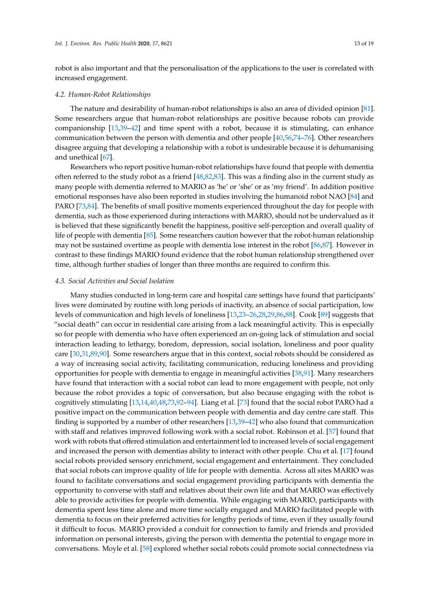robot is also important and that the personalisation of the applications to the user is correlated with increased engagement.

#### *4.2. Human-Robot Relationships*

The nature and desirability of human-robot relationships is also an area of divided opinion [\[81\]](#page-18-15). Some researchers argue that human-robot relationships are positive because robots can provide companionship [\[13,](#page-15-11)[39–](#page-16-8)[42\]](#page-16-9) and time spent with a robot, because it is stimulating, can enhance communication between the person with dementia and other people [\[40,](#page-16-11)[56](#page-17-8)[,74](#page-18-16)[–76\]](#page-18-11). Other researchers disagree arguing that developing a relationship with a robot is undesirable because it is dehumanising and unethical [\[67\]](#page-18-4).

Researchers who report positive human-robot relationships have found that people with dementia often referred to the study robot as a friend [\[48,](#page-17-10)[82](#page-18-17)[,83\]](#page-18-18). This was a finding also in the current study as many people with dementia referred to MARIO as 'he' or 'she' or as 'my friend'. In addition positive emotional responses have also been reported in studies involving the humanoid robot NAO [\[84\]](#page-19-0) and PARO [\[73](#page-18-10)[,84\]](#page-19-0). The benefits of small positive moments experienced throughout the day for people with dementia, such as those experienced during interactions with MARIO, should not be undervalued as it is believed that these significantly benefit the happiness, positive self-perception and overall quality of life of people with dementia [\[85\]](#page-19-1). Some researchers caution however that the robot-human relationship may not be sustained overtime as people with dementia lose interest in the robot [\[86,](#page-19-2)[87\]](#page-19-3). However in contrast to these findings MARIO found evidence that the robot human relationship strengthened over time, although further studies of longer than three months are required to confirm this.

## *4.3. Social Activities and Social Isolation*

Many studies conducted in long-term care and hospital care settings have found that participants' lives were dominated by routine with long periods of inactivity, an absence of social participation, low levels of communication and high levels of loneliness [\[13](#page-15-11)[,23](#page-16-12)[–26](#page-16-13)[,28](#page-16-14)[,29,](#page-16-0)[86,](#page-19-2)[88\]](#page-19-4). Cook [\[89\]](#page-19-5) suggests that "social death" can occur in residential care arising from a lack meaningful activity. This is especially so for people with dementia who have often experienced an on-going lack of stimulation and social interaction leading to lethargy, boredom, depression, social isolation, loneliness and poor quality care [\[30,](#page-16-1)[31,](#page-16-2)[89,](#page-19-5)[90\]](#page-19-6). Some researchers argue that in this context, social robots should be considered as a way of increasing social activity, facilitating communication, reducing loneliness and providing opportunities for people with dementia to engage in meaningful activities [\[38](#page-16-7)[,91\]](#page-19-7). Many researchers have found that interaction with a social robot can lead to more engagement with people, not only because the robot provides a topic of conversation, but also because engaging with the robot is cognitively stimulating [\[13](#page-15-11)[,14](#page-15-9)[,40,](#page-16-11)[48,](#page-17-10)[73,](#page-18-10)[92–](#page-19-8)[94\]](#page-19-9). Liang et al. [\[73\]](#page-18-10) found that the social robot PARO had a positive impact on the communication between people with dementia and day centre care staff. This finding is supported by a number of other researchers [\[13,](#page-15-11)[39–](#page-16-8)[42\]](#page-16-9) who also found that communication with staff and relatives improved following work with a social robot. Robinson et al. [\[57\]](#page-17-9) found that work with robots that offered stimulation and entertainment led to increased levels of social engagement and increased the person with dementias ability to interact with other people. Chu et al. [\[17\]](#page-15-13) found social robots provided sensory enrichment, social engagement and entertainment. They concluded that social robots can improve quality of life for people with dementia. Across all sites MARIO was found to facilitate conversations and social engagement providing participants with dementia the opportunity to converse with staff and relatives about their own life and that MARIO was effectively able to provide activities for people with dementia. While engaging with MARIO, participants with dementia spent less time alone and more time socially engaged and MARIO facilitated people with dementia to focus on their preferred activities for lengthy periods of time, even if they usually found it difficult to focus. MARIO provided a conduit for connection to family and friends and provided information on personal interests, giving the person with dementia the potential to engage more in conversations. Moyle et al. [\[58\]](#page-17-12) explored whether social robots could promote social connectedness via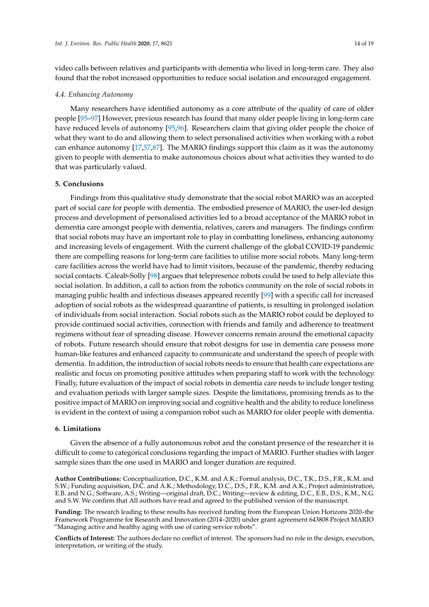video calls between relatives and participants with dementia who lived in long-term care. They also found that the robot increased opportunities to reduce social isolation and encouraged engagement.

#### *4.4. Enhancing Autonomy*

Many researchers have identified autonomy as a core attribute of the quality of care of older people [\[95](#page-19-10)[–97\]](#page-19-11) However, previous research has found that many older people living in long-term care have reduced levels of autonomy [\[95,](#page-19-10)[96\]](#page-19-12). Researchers claim that giving older people the choice of what they want to do and allowing them to select personalised activities when working with a robot can enhance autonomy [\[17](#page-15-13)[,57](#page-17-9)[,87\]](#page-19-3). The MARIO findings support this claim as it was the autonomy given to people with dementia to make autonomous choices about what activities they wanted to do that was particularly valued.

# **5. Conclusions**

Findings from this qualitative study demonstrate that the social robot MARIO was an accepted part of social care for people with dementia. The embodied presence of MARIO, the user-led design process and development of personalised activities led to a broad acceptance of the MARIO robot in dementia care amongst people with dementia, relatives, carers and managers. The findings confirm that social robots may have an important role to play in combatting loneliness, enhancing autonomy and increasing levels of engagement. With the current challenge of the global COVID-19 pandemic there are compelling reasons for long-term care facilities to utilise more social robots. Many long-term care facilities across the world have had to limit visitors, because of the pandemic, thereby reducing social contacts. Caleab-Solly [\[98\]](#page-19-13) argues that telepresence robots could be used to help alleviate this social isolation. In addition, a call to action from the robotics community on the role of social robots in managing public health and infectious diseases appeared recently [\[99\]](#page-19-14) with a specific call for increased adoption of social robots as the widespread quarantine of patients, is resulting in prolonged isolation of individuals from social interaction. Social robots such as the MARIO robot could be deployed to provide continued social activities, connection with friends and family and adherence to treatment regimens without fear of spreading disease. However concerns remain around the emotional capacity of robots. Future research should ensure that robot designs for use in dementia care possess more human-like features and enhanced capacity to communicate and understand the speech of people with dementia. In addition, the introduction of social robots needs to ensure that health care expectations are realistic and focus on promoting positive attitudes when preparing staff to work with the technology. Finally, future evaluation of the impact of social robots in dementia care needs to include longer testing and evaluation periods with larger sample sizes. Despite the limitations, promising trends as to the positive impact of MARIO on improving social and cognitive health and the ability to reduce loneliness is evident in the context of using a companion robot such as MARIO for older people with dementia.

# **6. Limitations**

Given the absence of a fully autonomous robot and the constant presence of the researcher it is difficult to come to categorical conclusions regarding the impact of MARIO. Further studies with larger sample sizes than the one used in MARIO and longer duration are required.

**Author Contributions:** Conceptualization, D.C., K.M. and A.K.; Formal analysis, D.C., T.K., D.S., F.R., K.M. and S.W.; Funding acquisition, D.C. and A.K.; Methodology, D.C., D.S., F.R., K.M. and A.K.; Project administration, E.B. and N.G.; Software, A.S.; Writing—original draft, D.C.; Writing—review & editing, D.C., E.B., D.S., K.M., N.G. and S.W. We confirm that All authors have read and agreed to the published version of the manuscript.

**Funding:** The research leading to these results has received funding from the European Union Horizons 2020–the Framework Programme for Research and Innovation (2014–2020) under grant agreement 643808 Project MARIO "Managing active and healthy aging with use of caring service robots".

**Conflicts of Interest:** The authors declare no conflict of interest. The sponsors had no role in the design, execution, interpretation, or writing of the study.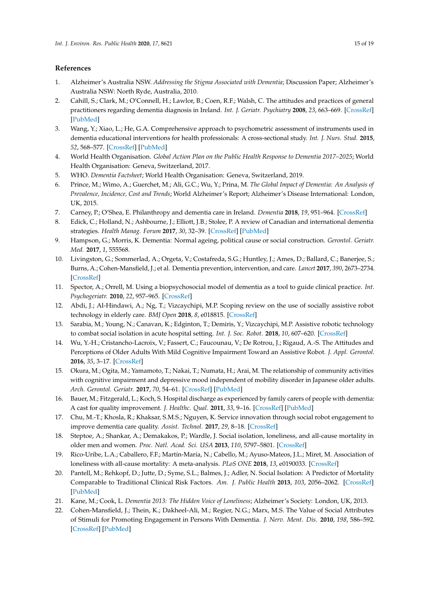# **References**

- <span id="page-15-0"></span>1. Alzheimer's Australia NSW. *Addressing the Stigma Associated with Dementia*; Discussion Paper; Alzheimer's Australia NSW: North Ryde, Australia, 2010.
- 2. Cahill, S.; Clark, M.; O'Connell, H.; Lawlor, B.; Coen, R.F.; Walsh, C. The attitudes and practices of general practitioners regarding dementia diagnosis in Ireland. *Int. J. Geriatr. Psychiatry* **2008**, *23*, 663–669. [\[CrossRef\]](http://dx.doi.org/10.1002/gps.1956) [\[PubMed\]](http://www.ncbi.nlm.nih.gov/pubmed/18229882)
- <span id="page-15-1"></span>3. Wang, Y.; Xiao, L.; He, G.A. Comprehensive approach to psychometric assessment of instruments used in dementia educational interventions for health professionals: A cross-sectional study. *Int. J. Nurs. Stud.* **2015**, *52*, 568–577. [\[CrossRef\]](http://dx.doi.org/10.1016/j.ijnurstu.2014.11.011) [\[PubMed\]](http://www.ncbi.nlm.nih.gov/pubmed/25523475)
- <span id="page-15-2"></span>4. World Health Organisation. *Global Action Plan on the Public Health Response to Dementia 2017–2025*; World Health Organisation: Geneva, Switzerland, 2017.
- <span id="page-15-3"></span>5. WHO. *Dementia Factsheet*; World Health Organisation: Geneva, Switzerland, 2019.
- <span id="page-15-4"></span>6. Prince, M.; Wimo, A.; Guerchet, M.; Ali, G.C.; Wu, Y.; Prina, M. *The Global Impact of Dementia: An Analysis of Prevalence, Incidence, Cost and Trends*; World Alzheimer's Report; Alzheimer's Disease International: London, UK, 2015.
- <span id="page-15-5"></span>7. Carney, P.; O'Shea, E. Philanthropy and dementia care in Ireland. *Dementia* **2018**, *19*, 951–964. [\[CrossRef\]](http://dx.doi.org/10.1177/1471301218791847)
- 8. Edick, C.; Holland, N.; Ashbourne, J.; Elliott, J.B.; Stolee, P. A review of Canadian and international dementia strategies. *Health Manag. Forum* **2017**, *30*, 32–39. [\[CrossRef\]](http://dx.doi.org/10.1177/0840470416664533) [\[PubMed\]](http://www.ncbi.nlm.nih.gov/pubmed/28929900)
- <span id="page-15-19"></span>9. Hampson, G.; Morris, K. Dementia: Normal ageing, political cause or social construction. *Gerontol. Geriatr. Med.* **2017**, *1*, 555568.
- <span id="page-15-6"></span>10. Livingston, G.; Sommerlad, A.; Orgeta, V.; Costafreda, S.G.; Huntley, J.; Ames, D.; Ballard, C.; Banerjee, S.; Burns, A.; Cohen-Mansfield, J.; et al. Dementia prevention, intervention, and care. *Lancet* **2017**, *390*, 2673–2734. [\[CrossRef\]](http://dx.doi.org/10.1016/S0140-6736(17)31363-6)
- <span id="page-15-7"></span>11. Spector, A.; Orrell, M. Using a biopsychosocial model of dementia as a tool to guide clinical practice. *Int. Psychogeriatr.* **2010**, *22*, 957–965. [\[CrossRef\]](http://dx.doi.org/10.1017/S1041610210000840)
- <span id="page-15-8"></span>12. Abdi, J.; Al-Hindawi, A.; Ng, T.; Vizcaychipi, M.P. Scoping review on the use of socially assistive robot technology in elderly care. *BMJ Open* **2018**, *8*, e018815. [\[CrossRef\]](http://dx.doi.org/10.1136/bmjopen-2017-018815)
- <span id="page-15-11"></span>13. Sarabia, M.; Young, N.; Canavan, K.; Edginton, T.; Demiris, Y.; Vizcaychipi, M.P. Assistive robotic technology to combat social isolation in acute hospital setting. *Int. J. Soc. Robot.* **2018**, *10*, 607–620. [\[CrossRef\]](http://dx.doi.org/10.1007/s12369-017-0421-z)
- <span id="page-15-9"></span>14. Wu, Y.-H.; Cristancho-Lacroix, V.; Fassert, C.; Faucounau, V.; De Rotrou, J.; Rigaud, A.-S. The Attitudes and Perceptions of Older Adults With Mild Cognitive Impairment Toward an Assistive Robot. *J. Appl. Gerontol.* **2016**, *35*, 3–17. [\[CrossRef\]](http://dx.doi.org/10.1177/0733464813515092)
- <span id="page-15-10"></span>15. Okura, M.; Ogita, M.; Yamamoto, T.; Nakai, T.; Numata, H.; Arai, M. The relationship of community activities with cognitive impairment and depressive mood independent of mobility disorder in Japanese older adults. *Arch. Gerontol. Geriatr.* **2017**, *70*, 54–61. [\[CrossRef\]](http://dx.doi.org/10.1016/j.archger.2016.12.010) [\[PubMed\]](http://www.ncbi.nlm.nih.gov/pubmed/28068553)
- <span id="page-15-12"></span>16. Bauer, M.; Fitzgerald, L.; Koch, S. Hospital discharge as experienced by family carers of people with dementia: A cast for quality improvement. *J. Healthc. Qual.* **2011**, *33*, 9–16. [\[CrossRef\]](http://dx.doi.org/10.1111/j.1945-1474.2011.00122.x) [\[PubMed\]](http://www.ncbi.nlm.nih.gov/pubmed/22103700)
- <span id="page-15-13"></span>17. Chu, M.-T.; Khosla, R.; Khaksar, S.M.S.; Nguyen, K. Service innovation through social robot engagement to improve dementia care quality. *Assist. Technol.* **2017**, *29*, 8–18. [\[CrossRef\]](http://dx.doi.org/10.1080/10400435.2016.1171807)
- <span id="page-15-14"></span>18. Steptoe, A.; Shankar, A.; Demakakos, P.; Wardle, J. Social isolation, loneliness, and all-cause mortality in older men and women. *Proc. Natl. Acad. Sci. USA* **2013**, *110*, 5797–5801. [\[CrossRef\]](http://dx.doi.org/10.1073/pnas.1219686110)
- <span id="page-15-15"></span>19. Rico-Uribe, L.A.; Caballero, F.F.; Martín-María, N.; Cabello, M.; Ayuso-Mateos, J.L.; Miret, M. Association of loneliness with all-cause mortality: A meta-analysis. *PLoS ONE* **2018**, *13*, e0190033. [\[CrossRef\]](http://dx.doi.org/10.1371/journal.pone.0190033)
- <span id="page-15-16"></span>20. Pantell, M.; Rehkopf, D.; Jutte, D.; Syme, S.L.; Balmes, J.; Adler, N. Social Isolation: A Predictor of Mortality Comparable to Traditional Clinical Risk Factors. *Am. J. Public Health* **2013**, *103*, 2056–2062. [\[CrossRef\]](http://dx.doi.org/10.2105/AJPH.2013.301261) [\[PubMed\]](http://www.ncbi.nlm.nih.gov/pubmed/24028260)
- <span id="page-15-17"></span>21. Kane, M.; Cook, L. *Dementia 2013: The Hidden Voice of Loneliness*; Alzheimer's Society: London, UK, 2013.
- <span id="page-15-18"></span>22. Cohen-Mansfield, J.; Thein, K.; Dakheel-Ali, M.; Regier, N.G.; Marx, M.S. The Value of Social Attributes of Stimuli for Promoting Engagement in Persons With Dementia. *J. Nerv. Ment. Dis.* **2010**, *198*, 586–592. [\[CrossRef\]](http://dx.doi.org/10.1097/NMD.0b013e3181e9dc76) [\[PubMed\]](http://www.ncbi.nlm.nih.gov/pubmed/20699725)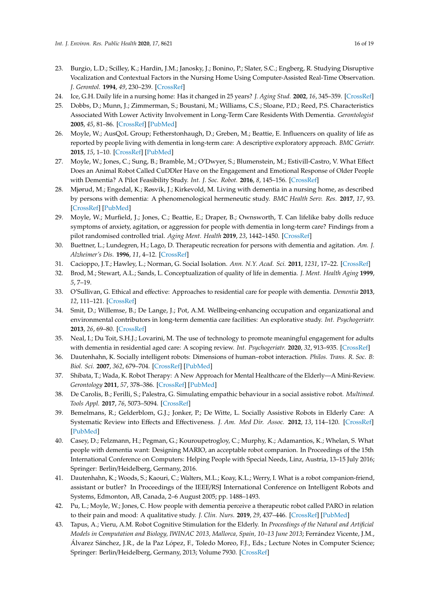- <span id="page-16-12"></span>23. Burgio, L.D.; Scilley, K.; Hardin, J.M.; Janosky, J.; Bonino, P.; Slater, S.C.; Engberg, R. Studying Disruptive Vocalization and Contextual Factors in the Nursing Home Using Computer-Assisted Real-Time Observation. *J. Gerontol.* **1994**, *49*, 230–239. [\[CrossRef\]](http://dx.doi.org/10.1093/geronj/49.5.P230)
- 24. Ice, G.H. Daily life in a nursing home: Has it changed in 25 years? *J. Aging Stud.* **2002**, *16*, 345–359. [\[CrossRef\]](http://dx.doi.org/10.1016/s0890-4065(02)00069-5)
- 25. Dobbs, D.; Munn, J.; Zimmerman, S.; Boustani, M.; Williams, C.S.; Sloane, P.D.; Reed, P.S. Characteristics Associated With Lower Activity Involvement in Long-Term Care Residents With Dementia. *Gerontologist* **2005**, *45*, 81–86. [\[CrossRef\]](http://dx.doi.org/10.1093/geront/45.suppl_1.81) [\[PubMed\]](http://www.ncbi.nlm.nih.gov/pubmed/16230754)
- <span id="page-16-13"></span>26. Moyle, W.; AusQoL Group; Fetherstonhaugh, D.; Greben, M.; Beattie, E. Influencers on quality of life as reported by people living with dementia in long-term care: A descriptive exploratory approach. *BMC Geriatr.* **2015**, *15*, 1–10. [\[CrossRef\]](http://dx.doi.org/10.1186/s12877-015-0050-z) [\[PubMed\]](http://www.ncbi.nlm.nih.gov/pubmed/25903463)
- 27. Moyle, W.; Jones, C.; Sung, B.; Bramble, M.; O'Dwyer, S.; Blumenstein, M.; Estivill-Castro, V. What Effect Does an Animal Robot Called CuDDler Have on the Engagement and Emotional Response of Older People with Dementia? A Pilot Feasibility Study. *Int. J. Soc. Robot.* **2016**, *8*, 145–156. [\[CrossRef\]](http://dx.doi.org/10.1007/s12369-015-0326-7)
- <span id="page-16-14"></span>28. Mjørud, M.; Engedal, K.; Røsvik, J.; Kirkevold, M. Living with dementia in a nursing home, as described by persons with dementia: A phenomenological hermeneutic study. *BMC Health Serv. Res.* **2017**, *17*, 93. [\[CrossRef\]](http://dx.doi.org/10.1186/s12913-017-2053-2) [\[PubMed\]](http://www.ncbi.nlm.nih.gov/pubmed/28143535)
- <span id="page-16-0"></span>29. Moyle, W.; Murfield, J.; Jones, C.; Beattie, E.; Draper, B.; Ownsworth, T. Can lifelike baby dolls reduce symptoms of anxiety, agitation, or aggression for people with dementia in long-term care? Findings from a pilot randomised controlled trial. *Aging Ment. Health* **2019**, *23*, 1442–1450. [\[CrossRef\]](http://dx.doi.org/10.1080/13607863.2018.1498447)
- <span id="page-16-1"></span>30. Buettner, L.; Lundegren, H.; Lago, D. Therapeutic recreation for persons with dementia and agitation. *Am. J. Alzheimer's Dis.* **1996**, *11*, 4–12. [\[CrossRef\]](http://dx.doi.org/10.1177/153331759601100503)
- <span id="page-16-2"></span>31. Cacioppo, J.T.; Hawley, L.; Norman, G. Social Isolation. *Ann. N.Y. Acad. Sci.* **2011**, *1231*, 17–22. [\[CrossRef\]](http://dx.doi.org/10.1111/j.1749-6632.2011.06028.x)
- <span id="page-16-3"></span>32. Brod, M.; Stewart, A.L.; Sands, L. Conceptualization of quality of life in dementia. *J. Ment. Health Aging* **1999**, *5*, 7–19.
- 33. O'Sullivan, G. Ethical and effective: Approaches to residential care for people with dementia. *Dementia* **2013**, *12*, 111–121. [\[CrossRef\]](http://dx.doi.org/10.1177/1471301211421707)
- 34. Smit, D.; Willemse, B.; De Lange, J.; Pot, A.M. Wellbeing-enhancing occupation and organizational and environmental contributors in long-term dementia care facilities: An explorative study. *Int. Psychogeriatr.* **2013**, *26*, 69–80. [\[CrossRef\]](http://dx.doi.org/10.1017/S1041610213001397)
- <span id="page-16-4"></span>35. Neal, I.; Du Toit, S.H.J.; Lovarini, M. The use of technology to promote meaningful engagement for adults with dementia in residential aged care: A scoping review. *Int. Psychogeriatr.* **2020**, *32*, 913–935. [\[CrossRef\]](http://dx.doi.org/10.1017/S1041610219001388)
- <span id="page-16-5"></span>36. Dautenhahn, K. Socially intelligent robots: Dimensions of human–robot interaction. *Philos. Trans. R. Soc. B: Biol. Sci.* **2007**, *362*, 679–704. [\[CrossRef\]](http://dx.doi.org/10.1098/rstb.2006.2004) [\[PubMed\]](http://www.ncbi.nlm.nih.gov/pubmed/17301026)
- <span id="page-16-6"></span>37. Shibata, T.; Wada, K. Robot Therapy: A New Approach for Mental Healthcare of the Elderly—A Mini-Review. *Gerontology* **2011**, *57*, 378–386. [\[CrossRef\]](http://dx.doi.org/10.1159/000319015) [\[PubMed\]](http://www.ncbi.nlm.nih.gov/pubmed/20639620)
- <span id="page-16-7"></span>38. De Carolis, B.; Ferilli, S.; Palestra, G. Simulating empathic behaviour in a social assistive robot. *Multimed. Tools Appl.* **2017**, *76*, 5073–5094. [\[CrossRef\]](http://dx.doi.org/10.1007/s11042-016-3797-0)
- <span id="page-16-8"></span>39. Bemelmans, R.; Gelderblom, G.J.; Jonker, P.; De Witte, L. Socially Assistive Robots in Elderly Care: A Systematic Review into Effects and Effectiveness. *J. Am. Med Dir. Assoc.* **2012**, *13*, 114–120. [\[CrossRef\]](http://dx.doi.org/10.1016/j.jamda.2010.10.002) [\[PubMed\]](http://www.ncbi.nlm.nih.gov/pubmed/21450215)
- <span id="page-16-11"></span>40. Casey, D.; Felzmann, H.; Pegman, G.; Kouroupetrogloy, C.; Murphy, K.; Adamantios, K.; Whelan, S. What people with dementia want: Designing MARIO, an acceptable robot companion. In Proceedings of the 15th International Conference on Computers: Helping People with Special Needs, Linz, Austria, 13–15 July 2016; Springer: Berlin/Heidelberg, Germany, 2016.
- 41. Dautenhahn, K.; Woods, S.; Kaouri, C.; Walters, M.L.; Koay, K.L.; Werry, I. What is a robot companion-friend, assistant or butler? In Proceedings of the IEEE/RSJ International Conference on Intelligent Robots and Systems, Edmonton, AB, Canada, 2–6 August 2005; pp. 1488–1493.
- <span id="page-16-9"></span>42. Pu, L.; Moyle, W.; Jones, C. How people with dementia perceive a therapeutic robot called PARO in relation to their pain and mood: A qualitative study. *J. Clin. Nurs.* **2019**, *29*, 437–446. [\[CrossRef\]](http://dx.doi.org/10.1111/jocn.15104) [\[PubMed\]](http://www.ncbi.nlm.nih.gov/pubmed/31738463)
- <span id="page-16-10"></span>43. Tapus, A.; Vieru, A.M. Robot Cognitive Stimulation for the Elderly. In *Proceedings of the Natural and Artificial Models in Computation and Biology, IWINAC 2013, Mallorca, Spain, 10–13 June 2013*; Ferrández Vicente, J.M., Álvarez Sánchez, J.R., de la Paz López, F., Toledo Moreo, F.J., Eds.; Lecture Notes in Computer Science; Springer: Berlin/Heidelberg, Germany, 2013; Volume 7930. [\[CrossRef\]](http://dx.doi.org/10.1007/978-3-642-38637-4_10)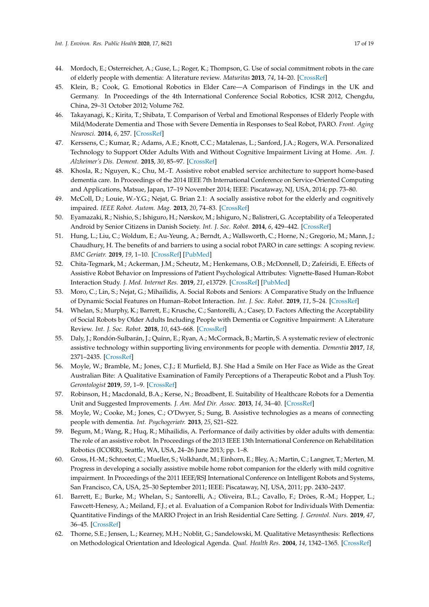- 44. Mordoch, E.; Osterreicher, A.; Guse, L.; Roger, K.; Thompson, G. Use of social commitment robots in the care of elderly people with dementia: A literature review. *Maturitas* **2013**, *74*, 14–20. [\[CrossRef\]](http://dx.doi.org/10.1016/j.maturitas.2012.10.015)
- 45. Klein, B.; Cook, G. Emotional Robotics in Elder Care—A Comparison of Findings in the UK and Germany. In Proceedings of the 4th International Conference Social Robotics, ICSR 2012, Chengdu, China, 29–31 October 2012; Volume 762.
- <span id="page-17-0"></span>46. Takayanagi, K.; Kirita, T.; Shibata, T. Comparison of Verbal and Emotional Responses of Elderly People with Mild/Moderate Dementia and Those with Severe Dementia in Responses to Seal Robot, PARO. *Front. Aging Neurosci.* **2014**, *6*, 257. [\[CrossRef\]](http://dx.doi.org/10.3389/fnagi.2014.00257)
- <span id="page-17-1"></span>47. Kerssens, C.; Kumar, R.; Adams, A.E.; Knott, C.C.; Matalenas, L.; Sanford, J.A.; Rogers, W.A. Personalized Technology to Support Older Adults With and Without Cognitive Impairment Living at Home. *Am. J. Alzheimer's Dis. Dement.* **2015**, *30*, 85–97. [\[CrossRef\]](http://dx.doi.org/10.1177/1533317514568338)
- <span id="page-17-10"></span>48. Khosla, R.; Nguyen, K.; Chu, M.-T. Assistive robot enabled service architecture to support home-based dementia care. In Proceedings of the 2014 IEEE 7th International Conference on Service-Oriented Computing and Applications, Matsue, Japan, 17–19 November 2014; IEEE: Piscataway, NJ, USA, 2014; pp. 73–80.
- <span id="page-17-11"></span>49. McColl, D.; Louie, W.-Y.G.; Nejat, G. Brian 2.1: A socially assistive robot for the elderly and cognitively impaired. *IEEE Robot. Autom. Mag.* **2013**, *20*, 74–83. [\[CrossRef\]](http://dx.doi.org/10.1109/MRA.2012.2229939)
- <span id="page-17-2"></span>50. Eyamazaki, R.; Nishio, S.; Ishiguro, H.; Nørskov, M.; Ishiguro, N.; Balistreri, G. Acceptability of a Teleoperated Android by Senior Citizens in Danish Society. *Int. J. Soc. Robot.* **2014**, *6*, 429–442. [\[CrossRef\]](http://dx.doi.org/10.1007/s12369-014-0247-x)
- <span id="page-17-3"></span>51. Hung, L.; Liu, C.; Woldum, E.; Au-Yeung, A.; Berndt, A.; Wallsworth, C.; Horne, N.; Gregorio, M.; Mann, J.; Chaudhury, H. The benefits of and barriers to using a social robot PARO in care settings: A scoping review. *BMC Geriatr.* **2019**, *19*, 1–10. [\[CrossRef\]](http://dx.doi.org/10.1186/s12877-019-1244-6) [\[PubMed\]](http://www.ncbi.nlm.nih.gov/pubmed/31443636)
- <span id="page-17-4"></span>52. Chita-Tegmark, M.; Ackerman, J.M.; Scheutz, M.; Henkemans, O.B.; McDonnell, D.; Zafeiridi, E. Effects of Assistive Robot Behavior on Impressions of Patient Psychological Attributes: Vignette-Based Human-Robot Interaction Study. *J. Med. Internet Res.* **2019**, *21*, e13729. [\[CrossRef\]](http://dx.doi.org/10.2196/13729) [\[PubMed\]](http://www.ncbi.nlm.nih.gov/pubmed/31199297)
- <span id="page-17-5"></span>53. Moro, C.; Lin, S.; Nejat, G.; Mihailidis, A. Social Robots and Seniors: A Comparative Study on the Influence of Dynamic Social Features on Human–Robot Interaction. *Int. J. Soc. Robot.* **2019**, *11*, 5–24. [\[CrossRef\]](http://dx.doi.org/10.1007/s12369-018-0488-1)
- <span id="page-17-6"></span>54. Whelan, S.; Murphy, K.; Barrett, E.; Krusche, C.; Santorelli, A.; Casey, D. Factors Affecting the Acceptability of Social Robots by Older Adults Including People with Dementia or Cognitive Impairment: A Literature Review. *Int. J. Soc. Robot.* **2018**, *10*, 643–668. [\[CrossRef\]](http://dx.doi.org/10.1007/s12369-018-0471-x)
- <span id="page-17-7"></span>55. Daly, J.; Rondón-Sulbarán, J.; Quinn, E.; Ryan, A.; McCormack, B.; Martin, S. A systematic review of electronic assistive technology within supporting living environments for people with dementia. *Dementia* **2017**, *18*, 2371–2435. [\[CrossRef\]](http://dx.doi.org/10.1177/1471301217733649)
- <span id="page-17-8"></span>56. Moyle, W.; Bramble, M.; Jones, C.J.; E Murfield, B.J. She Had a Smile on Her Face as Wide as the Great Australian Bite: A Qualitative Examination of Family Perceptions of a Therapeutic Robot and a Plush Toy. *Gerontologist* **2019**, *59*, 1–9. [\[CrossRef\]](http://dx.doi.org/10.1093/geront/gnx180)
- <span id="page-17-9"></span>57. Robinson, H.; Macdonald, B.A.; Kerse, N.; Broadbent, E. Suitability of Healthcare Robots for a Dementia Unit and Suggested Improvements. *J. Am. Med Dir. Assoc.* **2013**, *14*, 34–40. [\[CrossRef\]](http://dx.doi.org/10.1016/j.jamda.2012.09.006)
- <span id="page-17-12"></span>58. Moyle, W.; Cooke, M.; Jones, C.; O'Dwyer, S.; Sung, B. Assistive technologies as a means of connecting people with dementia. *Int. Psychogeriatr.* **2013**, *25*, S21–S22.
- <span id="page-17-13"></span>59. Begum, M.; Wang, R.; Huq, R.; Mihailidis, A. Performance of daily activities by older adults with dementia: The role of an assistive robot. In Proceedings of the 2013 IEEE 13th International Conference on Rehabilitation Robotics (ICORR), Seattle, WA, USA, 24–26 June 2013; pp. 1–8.
- <span id="page-17-14"></span>60. Gross, H.-M.; Schroeter, C.; Mueller, S.; Volkhardt, M.; Einhorn, E.; Bley, A.; Martin, C.; Langner, T.; Merten, M. Progress in developing a socially assistive mobile home robot companion for the elderly with mild cognitive impairment. In Proceedings of the 2011 IEEE/RSJ International Conference on Intelligent Robots and Systems, San Francisco, CA, USA, 25–30 September 2011; IEEE: Piscataway, NJ, USA, 2011; pp. 2430–2437.
- <span id="page-17-15"></span>61. Barrett, E.; Burke, M.; Whelan, S.; Santorelli, A.; Oliveira, B.L.; Cavallo, F.; Dröes, R.-M.; Hopper, L.; Fawcett-Henesy, A.; Meiland, F.J.; et al. Evaluation of a Companion Robot for Individuals With Dementia: Quantitative Findings of the MARIO Project in an Irish Residential Care Setting. *J. Gerontol. Nurs.* **2019**, *47*, 36–45. [\[CrossRef\]](http://dx.doi.org/10.3928/00989134-20190531-01)
- <span id="page-17-16"></span>62. Thorne, S.E.; Jensen, L.; Kearney, M.H.; Noblit, G.; Sandelowski, M. Qualitative Metasynthesis: Reflections on Methodological Orientation and Ideological Agenda. *Qual. Health Res.* **2004**, *14*, 1342–1365. [\[CrossRef\]](http://dx.doi.org/10.1177/1049732304269888)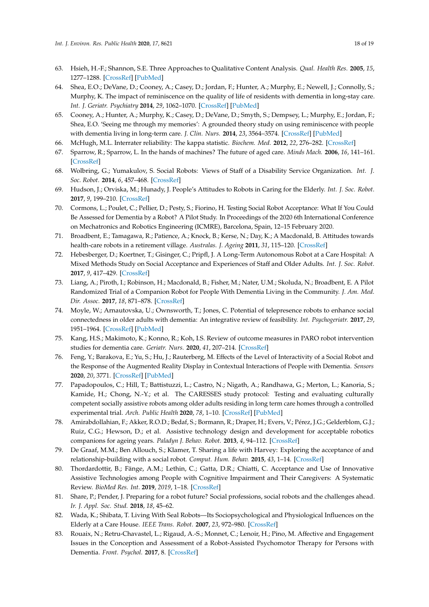- <span id="page-18-0"></span>63. Hsieh, H.-F.; Shannon, S.E. Three Approaches to Qualitative Content Analysis. *Qual. Health Res.* **2005**, *15*, 1277–1288. [\[CrossRef\]](http://dx.doi.org/10.1177/1049732305276687) [\[PubMed\]](http://www.ncbi.nlm.nih.gov/pubmed/16204405)
- <span id="page-18-1"></span>64. Shea, E.O.; DeVane, D.; Cooney, A.; Casey, D.; Jordan, F.; Hunter, A.; Murphy, E.; Newell, J.; Connolly, S.; Murphy, K. The impact of reminiscence on the quality of life of residents with dementia in long-stay care. *Int. J. Geriatr. Psychiatry* **2014**, *29*, 1062–1070. [\[CrossRef\]](http://dx.doi.org/10.1002/gps.4099) [\[PubMed\]](http://www.ncbi.nlm.nih.gov/pubmed/24633858)
- <span id="page-18-2"></span>65. Cooney, A.; Hunter, A.; Murphy, K.; Casey, D.; DeVane, D.; Smyth, S.; Dempsey, L.; Murphy, E.; Jordan, F.; Shea, E.O. 'Seeing me through my memories': A grounded theory study on using reminiscence with people with dementia living in long-term care. *J. Clin. Nurs.* **2014**, *23*, 3564–3574. [\[CrossRef\]](http://dx.doi.org/10.1111/jocn.12645) [\[PubMed\]](http://www.ncbi.nlm.nih.gov/pubmed/25040857)
- <span id="page-18-4"></span><span id="page-18-3"></span>66. McHugh, M.L. Interrater reliability: The kappa statistic. *Biochem. Med.* **2012**, *22*, 276–282. [\[CrossRef\]](http://dx.doi.org/10.11613/BM.2012.031)
- 67. Sparrow, R.; Sparrow, L. In the hands of machines? The future of aged care. *Minds Mach.* **2006**, *16*, 141–161. [\[CrossRef\]](http://dx.doi.org/10.1007/s11023-006-9030-6)
- <span id="page-18-8"></span>68. Wolbring, G.; Yumakulov, S. Social Robots: Views of Staff of a Disability Service Organization. *Int. J. Soc. Robot.* **2014**, *6*, 457–468. [\[CrossRef\]](http://dx.doi.org/10.1007/s12369-014-0229-z)
- <span id="page-18-9"></span>69. Hudson, J.; Orviska, M.; Hunady, J. People's Attitudes to Robots in Caring for the Elderly. *Int. J. Soc. Robot.* **2017**, *9*, 199–210. [\[CrossRef\]](http://dx.doi.org/10.1007/s12369-016-0384-5)
- <span id="page-18-5"></span>70. Cormons, L.; Poulet, C.; Pellier, D.; Pesty, S.; Fiorino, H. Testing Social Robot Acceptance: What If You Could Be Assessed for Dementia by a Robot? A Pilot Study. In Proceedings of the 2020 6th International Conference on Mechatronics and Robotics Engineering (ICMRE), Barcelona, Spain, 12–15 February 2020.
- <span id="page-18-6"></span>71. Broadbent, E.; Tamagawa, R.; Patience, A.; Knock, B.; Kerse, N.; Day, K.; A Macdonald, B. Attitudes towards health-care robots in a retirement village. *Australas. J. Ageing* **2011**, *31*, 115–120. [\[CrossRef\]](http://dx.doi.org/10.1111/j.1741-6612.2011.00551.x)
- <span id="page-18-7"></span>72. Hebesberger, D.; Koertner, T.; Gisinger, C.; Pripfl, J. A Long-Term Autonomous Robot at a Care Hospital: A Mixed Methods Study on Social Acceptance and Experiences of Staff and Older Adults. *Int. J. Soc. Robot.* **2017**, *9*, 417–429. [\[CrossRef\]](http://dx.doi.org/10.1007/s12369-016-0391-6)
- <span id="page-18-10"></span>73. Liang, A.; Piroth, I.; Robinson, H.; Macdonald, B.; Fisher, M.; Nater, U.M.; Skoluda, N.; Broadbent, E. A Pilot Randomized Trial of a Companion Robot for People With Dementia Living in the Community. *J. Am. Med. Dir. Assoc.* **2017**, *18*, 871–878. [\[CrossRef\]](http://dx.doi.org/10.1016/j.jamda.2017.05.019)
- <span id="page-18-16"></span>74. Moyle, W.; Arnautovska, U.; Ownsworth, T.; Jones, C. Potential of telepresence robots to enhance social connectedness in older adults with dementia: An integrative review of feasibility. *Int. Psychogeriatr.* **2017**, *29*, 1951–1964. [\[CrossRef\]](http://dx.doi.org/10.1017/S1041610217001776) [\[PubMed\]](http://www.ncbi.nlm.nih.gov/pubmed/28879828)
- 75. Kang, H.S.; Makimoto, K.; Konno, R.; Koh, I.S. Review of outcome measures in PARO robot intervention studies for dementia care. *Geriatr. Nurs.* **2020**, *41*, 207–214. [\[CrossRef\]](http://dx.doi.org/10.1016/j.gerinurse.2019.09.003)
- <span id="page-18-11"></span>76. Feng, Y.; Barakova, E.; Yu, S.; Hu, J.; Rauterberg, M. Effects of the Level of Interactivity of a Social Robot and the Response of the Augmented Reality Display in Contextual Interactions of People with Dementia. *Sensors* **2020**, *20*, 3771. [\[CrossRef\]](http://dx.doi.org/10.3390/s20133771) [\[PubMed\]](http://www.ncbi.nlm.nih.gov/pubmed/32635640)
- <span id="page-18-12"></span>77. Papadopoulos, C.; Hill, T.; Battistuzzi, L.; Castro, N.; Nigath, A.; Randhawa, G.; Merton, L.; Kanoria, S.; Kamide, H.; Chong, N.-Y.; et al. The CARESSES study protocol: Testing and evaluating culturally competent socially assistive robots among older adults residing in long term care homes through a controlled experimental trial. *Arch. Public Health* **2020**, *78*, 1–10. [\[CrossRef\]](http://dx.doi.org/10.1186/s13690-020-00409-y) [\[PubMed\]](http://www.ncbi.nlm.nih.gov/pubmed/32206312)
- <span id="page-18-13"></span>78. Amirabdollahian, F.; Akker, R.O.D.; Bedaf, S.; Bormann, R.; Draper, H.; Evers, V.; Pérez, J.G.; Gelderblom, G.J.; Ruiz, C.G.; Hewson, D.; et al. Assistive technology design and development for acceptable robotics companions for ageing years. *Paladyn J. Behav. Robot.* **2013**, *4*, 94–112. [\[CrossRef\]](http://dx.doi.org/10.2478/pjbr-2013-0007)
- 79. De Graaf, M.M.; Ben Allouch, S.; Klamer, T. Sharing a life with Harvey: Exploring the acceptance of and relationship-building with a social robot. *Comput. Hum. Behav.* **2015**, *43*, 1–14. [\[CrossRef\]](http://dx.doi.org/10.1016/j.chb.2014.10.030)
- <span id="page-18-14"></span>80. Thordardottir, B.; Fänge, A.M.; Lethin, C.; Gatta, D.R.; Chiatti, C. Acceptance and Use of Innovative Assistive Technologies among People with Cognitive Impairment and Their Caregivers: A Systematic Review. *BioMed Res. Int.* **2019**, *2019*, 1–18. [\[CrossRef\]](http://dx.doi.org/10.1155/2019/9196729)
- <span id="page-18-15"></span>81. Share, P.; Pender, J. Preparing for a robot future? Social professions, social robots and the challenges ahead. *Ir. J. Appl. Soc. Stud.* **2018**, *18*, 45–62.
- <span id="page-18-17"></span>82. Wada, K.; Shibata, T. Living With Seal Robots—Its Sociopsychological and Physiological Influences on the Elderly at a Care House. *IEEE Trans. Robot.* **2007**, *23*, 972–980. [\[CrossRef\]](http://dx.doi.org/10.1109/TRO.2007.906261)
- <span id="page-18-18"></span>83. Rouaix, N.; Retru-Chavastel, L.; Rigaud, A.-S.; Monnet, C.; Lenoir, H.; Pino, M. Affective and Engagement Issues in the Conception and Assessment of a Robot-Assisted Psychomotor Therapy for Persons with Dementia. *Front. Psychol.* **2017**, 8. [\[CrossRef\]](http://dx.doi.org/10.3389/fpsyg.2017.00950)